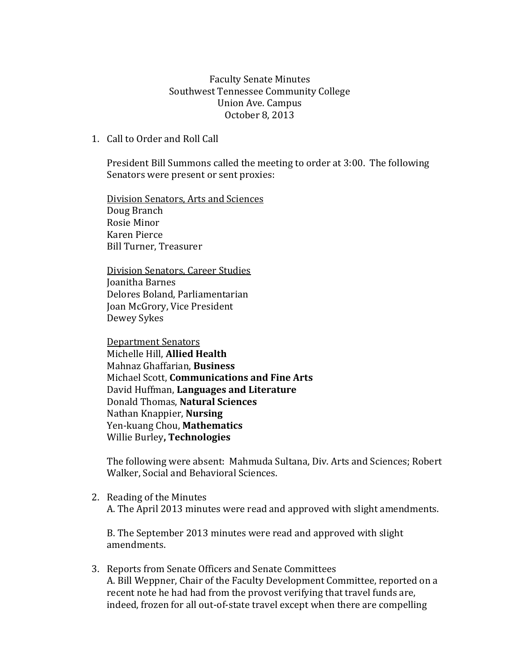Faculty Senate Minutes Southwest Tennessee Community College Union Ave. Campus October 8, 2013

1. Call to Order and Roll Call

President Bill Summons called the meeting to order at 3:00. The following Senators were present or sent proxies:

Division Senators, Arts and Sciences Doug Branch Rosie Minor Karen Pierce Bill Turner, Treasurer

Division Senators, Career Studies Joanitha Barnes Delores Boland, Parliamentarian Joan McGrory, Vice President Dewey Sykes

Department Senators Michelle Hill, **Allied Health** Mahnaz Ghaffarian, **Business** Michael Scott, **Communications and Fine Arts** David Huffman, **Languages and Literature** Donald Thomas, **Natural Sciences** Nathan Knappier, **Nursing** Yen-kuang Chou, **Mathematics** Willie Burley**, Technologies**

The following were absent: Mahmuda Sultana, Div. Arts and Sciences; Robert Walker, Social and Behavioral Sciences.

2. Reading of the Minutes A. The April 2013 minutes were read and approved with slight amendments.

B. The September 2013 minutes were read and approved with slight amendments.

3. Reports from Senate Officers and Senate Committees A. Bill Weppner, Chair of the Faculty Development Committee, reported on a recent note he had had from the provost verifying that travel funds are, indeed, frozen for all out-of-state travel except when there are compelling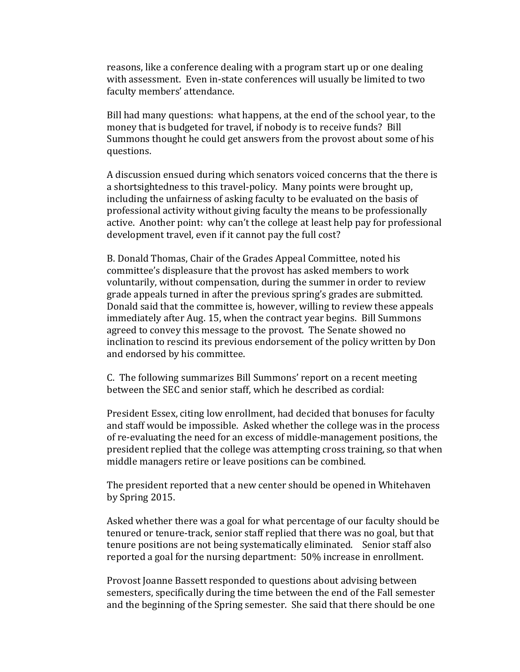reasons, like a conference dealing with a program start up or one dealing with assessment. Even in-state conferences will usually be limited to two faculty members' attendance.

Bill had many questions: what happens, at the end of the school year, to the money that is budgeted for travel, if nobody is to receive funds? Bill Summons thought he could get answers from the provost about some of his questions.

A discussion ensued during which senators voiced concerns that the there is a shortsightedness to this travel-policy. Many points were brought up, including the unfairness of asking faculty to be evaluated on the basis of professional activity without giving faculty the means to be professionally active. Another point: why can't the college at least help pay for professional development travel, even if it cannot pay the full cost?

B. Donald Thomas, Chair of the Grades Appeal Committee, noted his committee's displeasure that the provost has asked members to work voluntarily, without compensation, during the summer in order to review grade appeals turned in after the previous spring's grades are submitted. Donald said that the committee is, however, willing to review these appeals immediately after Aug. 15, when the contract year begins. Bill Summons agreed to convey this message to the provost. The Senate showed no inclination to rescind its previous endorsement of the policy written by Don and endorsed by his committee.

C. The following summarizes Bill Summons' report on a recent meeting between the SEC and senior staff, which he described as cordial:

President Essex, citing low enrollment, had decided that bonuses for faculty and staff would be impossible. Asked whether the college was in the process of re-evaluating the need for an excess of middle-management positions, the president replied that the college was attempting cross training, so that when middle managers retire or leave positions can be combined.

The president reported that a new center should be opened in Whitehaven by Spring 2015.

Asked whether there was a goal for what percentage of our faculty should be tenured or tenure-track, senior staff replied that there was no goal, but that tenure positions are not being systematically eliminated. Senior staff also reported a goal for the nursing department: 50% increase in enrollment.

Provost Joanne Bassett responded to questions about advising between semesters, specifically during the time between the end of the Fall semester and the beginning of the Spring semester. She said that there should be one